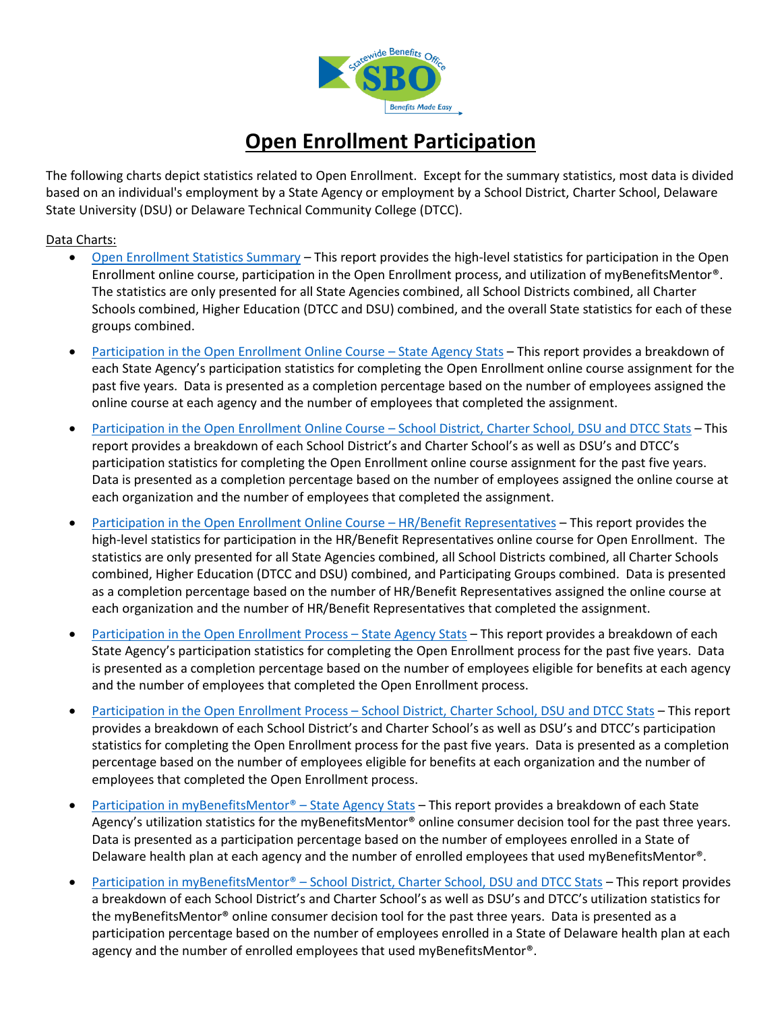

# **Open Enrollment Participation**

<span id="page-0-1"></span>The following charts depict statistics related to Open Enrollment. Except for the summary statistics, most data is divided based on an individual's employment by a State Agency or employment by a School District, Charter School, Delaware State University (DSU) or Delaware Technical Community College (DTCC).

#### <span id="page-0-0"></span>Data Charts:

- [Open Enrollment Statistics Summary](#page-1-0) This report provides the high-level statistics for participation in the Open Enrollment online course, participation in the Open Enrollment process, and utilization of myBenefitsMentor®. The statistics are only presented for all State Agencies combined, all School Districts combined, all Charter Schools combined, Higher Education (DTCC and DSU) combined, and the overall State statistics for each of these groups combined.
- [Participation in the Open Enrollment Online Course](#page-1-1)  State Agency Stats This report provides a breakdown of each State Agency's participation statistics for completing the Open Enrollment online course assignment for the past five years. Data is presented as a completion percentage based on the number of employees assigned the online course at each agency and the number of employees that completed the assignment.
- [Participation in the Open Enrollment Online Course](#page-2-0)  School District, Charter School, DSU and DTCC Stats This report provides a breakdown of each School District's and Charter School's as well as DSU's and DTCC's participation statistics for completing the Open Enrollment online course assignment for the past five years. Data is presented as a completion percentage based on the number of employees assigned the online course at each organization and the number of employees that completed the assignment.
- [Participation in the Open Enrollment Online Course](#page-4-0)  HR/Benefit Representatives This report provides the high-level statistics for participation in the HR/Benefit Representatives online course for Open Enrollment. The statistics are only presented for all State Agencies combined, all School Districts combined, all Charter Schools combined, Higher Education (DTCC and DSU) combined, and Participating Groups combined. Data is presented as a completion percentage based on the number of HR/Benefit Representatives assigned the online course at each organization and the number of HR/Benefit Representatives that completed the assignment.
- [Participation in the Open Enrollment Process](#page-5-0)  State Agency Stats This report provides a breakdown of each State Agency's participation statistics for completing the Open Enrollment process for the past five years. Data is presented as a completion percentage based on the number of employees eligible for benefits at each agency and the number of employees that completed the Open Enrollment process.
- Participation in the Open Enrollment Process [School District, Charter School, DSU and DTCC Stats](#page-6-0) This report provides a breakdown of each School District's and Charter School's as well as DSU's and DTCC's participation statistics for completing the Open Enrollment process for the past five years. Data is presented as a completion percentage based on the number of employees eligible for benefits at each organization and the number of employees that completed the Open Enrollment process.
- [Participation in myBenefitsMentor®](#page-7-0) State Agency Stats This report provides a breakdown of each State Agency's utilization statistics for the myBenefitsMentor® online consumer decision tool for the past three years. Data is presented as a participation percentage based on the number of employees enrolled in a State of Delaware health plan at each agency and the number of enrolled employees that used myBenefitsMentor®.
- Participation in myBenefitsMentor® [School District, Charter School, DSU and DTCC Stats](#page-8-0) This report provides a breakdown of each School District's and Charter School's as well as DSU's and DTCC's utilization statistics for the myBenefitsMentor® online consumer decision tool for the past three years. Data is presented as a participation percentage based on the number of employees enrolled in a State of Delaware health plan at each agency and the number of enrolled employees that used myBenefitsMentor®.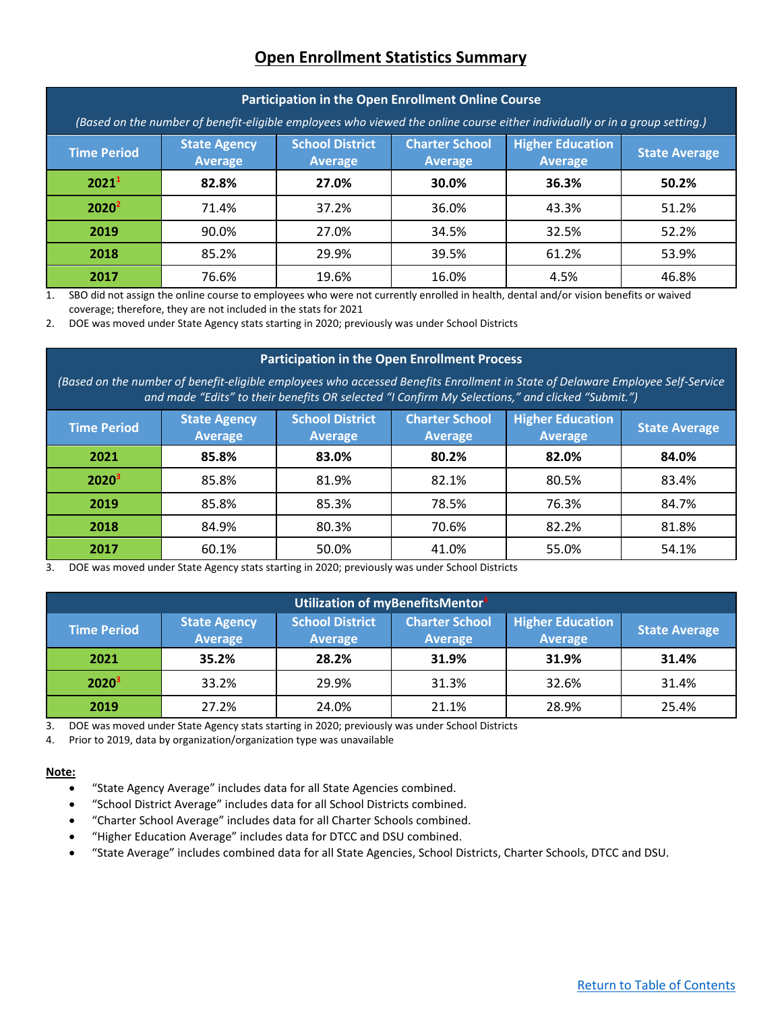### **Open Enrollment Statistics Summary**

<span id="page-1-0"></span>

| Participation in the Open Enrollment Online Course                                                                          |                                       |                                          |                                         |                                           |                      |
|-----------------------------------------------------------------------------------------------------------------------------|---------------------------------------|------------------------------------------|-----------------------------------------|-------------------------------------------|----------------------|
| (Based on the number of benefit-eligible employees who viewed the online course either individually or in a group setting.) |                                       |                                          |                                         |                                           |                      |
| <b>Time Period</b>                                                                                                          | <b>State Agency</b><br><b>Average</b> | <b>School District</b><br><b>Average</b> | <b>Charter School</b><br><b>Average</b> | <b>Higher Education</b><br><b>Average</b> | <b>State Average</b> |
| 2021 <sup>1</sup>                                                                                                           | 82.8%                                 | 27.0%                                    | 30.0%                                   | 36.3%                                     | 50.2%                |
| 2020 <sup>2</sup>                                                                                                           | 71.4%                                 | 37.2%                                    | 36.0%                                   | 43.3%                                     | 51.2%                |
| 2019                                                                                                                        | 90.0%                                 | 27.0%                                    | 34.5%                                   | 32.5%                                     | 52.2%                |
| 2018                                                                                                                        | 85.2%                                 | 29.9%                                    | 39.5%                                   | 61.2%                                     | 53.9%                |
| 2017                                                                                                                        | 76.6%                                 | 19.6%                                    | 16.0%                                   | 4.5%                                      | 46.8%                |

1. SBO did not assign the online course to employees who were not currently enrolled in health, dental and/or vision benefits or waived coverage; therefore, they are not included in the stats for 2021

2. DOE was moved under State Agency stats starting in 2020; previously was under School Districts

#### **Participation in the Open Enrollment Process**

*(Based on the number of benefit-eligible employees who accessed Benefits Enrollment in State of Delaware Employee Self-Service and made "Edits" to their benefits OR selected "I Confirm My Selections," and clicked "Submit.")*

| <b>Time Period</b> | <b>State Agency</b><br><b>Average</b> | <b>School District</b><br>Average | <b>Charter School</b><br><b>Average</b> | <b>Higher Education</b><br>Average | <b>State Average</b> |
|--------------------|---------------------------------------|-----------------------------------|-----------------------------------------|------------------------------------|----------------------|
| 2021               | 85.8%                                 | 83.0%                             | 80.2%                                   | 82.0%                              | 84.0%                |
| $2020^3$           | 85.8%                                 | 81.9%                             | 82.1%                                   | 80.5%                              | 83.4%                |
| 2019               | 85.8%                                 | 85.3%                             | 78.5%                                   | 76.3%                              | 84.7%                |
| 2018               | 84.9%                                 | 80.3%                             | 70.6%                                   | 82.2%                              | 81.8%                |
| 2017               | 60.1%                                 | 50.0%                             | 41.0%                                   | 55.0%                              | 54.1%                |

3. DOE was moved under State Agency stats starting in 2020; previously was under School Districts

| Utilization of myBenefitsMentor <sup>4</sup> |                                       |                                          |                                         |                                           |                      |
|----------------------------------------------|---------------------------------------|------------------------------------------|-----------------------------------------|-------------------------------------------|----------------------|
| <b>Time Period</b>                           | <b>State Agency</b><br><b>Average</b> | <b>School District</b><br><b>Average</b> | <b>Charter School</b><br><b>Average</b> | <b>Higher Education</b><br><b>Average</b> | <b>State Average</b> |
| 2021                                         | 35.2%                                 | 28.2%                                    | 31.9%                                   | 31.9%                                     | 31.4%                |
| $2020^3$                                     | 33.2%                                 | 29.9%                                    | 31.3%                                   | 32.6%                                     | 31.4%                |
| 2019                                         | 27.2%                                 | 24.0%                                    | 21.1%                                   | 28.9%                                     | 25.4%                |

3. DOE was moved under State Agency stats starting in 2020; previously was under School Districts

4. Prior to 2019, data by organization/organization type was unavailable

#### **Note:**

- "State Agency Average" includes data for all State Agencies combined.
- "School District Average" includes data for all School Districts combined.
- "Charter School Average" includes data for all Charter Schools combined.
- <span id="page-1-1"></span>• "Higher Education Average" includes data for DTCC and DSU combined.
- "State Average" includes combined data for all State Agencies, School Districts, Charter Schools, DTCC and DSU.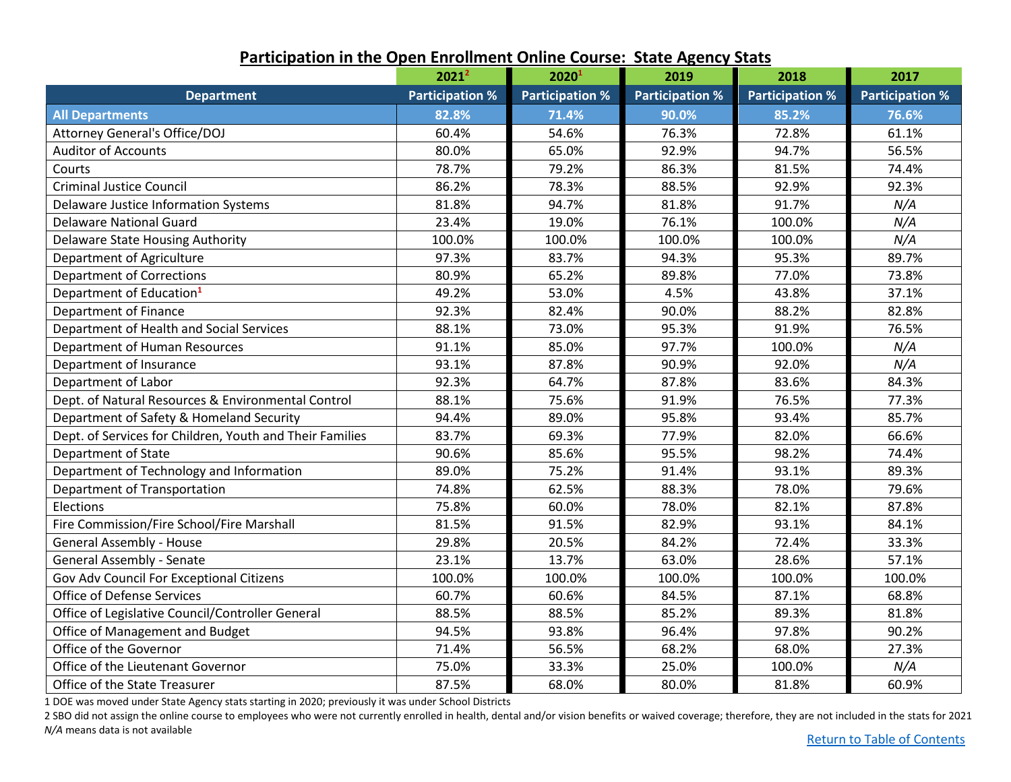|                                                          | 2021 <sup>2</sup>      | 20201                  | 2019                   | 2018                   | 2017                   |
|----------------------------------------------------------|------------------------|------------------------|------------------------|------------------------|------------------------|
| <b>Department</b>                                        | <b>Participation %</b> | <b>Participation %</b> | <b>Participation %</b> | <b>Participation %</b> | <b>Participation %</b> |
| <b>All Departments</b>                                   | 82.8%                  | 71.4%                  | 90.0%                  | 85.2%                  | 76.6%                  |
| Attorney General's Office/DOJ                            | 60.4%                  | 54.6%                  | 76.3%                  | 72.8%                  | 61.1%                  |
| <b>Auditor of Accounts</b>                               | 80.0%                  | 65.0%                  | 92.9%                  | 94.7%                  | 56.5%                  |
| Courts                                                   | 78.7%                  | 79.2%                  | 86.3%                  | 81.5%                  | 74.4%                  |
| <b>Criminal Justice Council</b>                          | 86.2%                  | 78.3%                  | 88.5%                  | 92.9%                  | 92.3%                  |
| Delaware Justice Information Systems                     | 81.8%                  | 94.7%                  | 81.8%                  | 91.7%                  | N/A                    |
| <b>Delaware National Guard</b>                           | 23.4%                  | 19.0%                  | 76.1%                  | 100.0%                 | N/A                    |
| <b>Delaware State Housing Authority</b>                  | 100.0%                 | 100.0%                 | 100.0%                 | 100.0%                 | N/A                    |
| Department of Agriculture                                | 97.3%                  | 83.7%                  | 94.3%                  | 95.3%                  | 89.7%                  |
| <b>Department of Corrections</b>                         | 80.9%                  | 65.2%                  | 89.8%                  | 77.0%                  | 73.8%                  |
| Department of Education <sup>1</sup>                     | 49.2%                  | 53.0%                  | 4.5%                   | 43.8%                  | 37.1%                  |
| Department of Finance                                    | 92.3%                  | 82.4%                  | 90.0%                  | 88.2%                  | 82.8%                  |
| Department of Health and Social Services                 | 88.1%                  | 73.0%                  | 95.3%                  | 91.9%                  | 76.5%                  |
| Department of Human Resources                            | 91.1%                  | 85.0%                  | 97.7%                  | 100.0%                 | N/A                    |
| Department of Insurance                                  | 93.1%                  | 87.8%                  | 90.9%                  | 92.0%                  | N/A                    |
| Department of Labor                                      | 92.3%                  | 64.7%                  | 87.8%                  | 83.6%                  | 84.3%                  |
| Dept. of Natural Resources & Environmental Control       | 88.1%                  | 75.6%                  | 91.9%                  | 76.5%                  | 77.3%                  |
| Department of Safety & Homeland Security                 | 94.4%                  | 89.0%                  | 95.8%                  | 93.4%                  | 85.7%                  |
| Dept. of Services for Children, Youth and Their Families | 83.7%                  | 69.3%                  | 77.9%                  | 82.0%                  | 66.6%                  |
| Department of State                                      | 90.6%                  | 85.6%                  | 95.5%                  | 98.2%                  | 74.4%                  |
| Department of Technology and Information                 | 89.0%                  | 75.2%                  | 91.4%                  | 93.1%                  | 89.3%                  |
| Department of Transportation                             | 74.8%                  | 62.5%                  | 88.3%                  | 78.0%                  | 79.6%                  |
| Elections                                                | 75.8%                  | 60.0%                  | 78.0%                  | 82.1%                  | 87.8%                  |
| Fire Commission/Fire School/Fire Marshall                | 81.5%                  | 91.5%                  | 82.9%                  | 93.1%                  | 84.1%                  |
| <b>General Assembly - House</b>                          | 29.8%                  | 20.5%                  | 84.2%                  | 72.4%                  | 33.3%                  |
| <b>General Assembly - Senate</b>                         | 23.1%                  | 13.7%                  | 63.0%                  | 28.6%                  | 57.1%                  |
| Gov Adv Council For Exceptional Citizens                 | 100.0%                 | 100.0%                 | 100.0%                 | 100.0%                 | 100.0%                 |
| Office of Defense Services                               | 60.7%                  | 60.6%                  | 84.5%                  | 87.1%                  | 68.8%                  |
| Office of Legislative Council/Controller General         | 88.5%                  | 88.5%                  | 85.2%                  | 89.3%                  | 81.8%                  |
| Office of Management and Budget                          | 94.5%                  | 93.8%                  | 96.4%                  | 97.8%                  | 90.2%                  |
| Office of the Governor                                   | 71.4%                  | 56.5%                  | 68.2%                  | 68.0%                  | 27.3%                  |
| Office of the Lieutenant Governor                        | 75.0%                  | 33.3%                  | 25.0%                  | 100.0%                 | N/A                    |
| Office of the State Treasurer                            | 87.5%                  | 68.0%                  | 80.0%                  | 81.8%                  | 60.9%                  |

### **Participation in the Open Enrollment Online Course: State Agency Stats**

1 DOE was moved under State Agency stats starting in 2020; previously it was under School Districts

<span id="page-2-0"></span>2 SBO did not assign the online course to employees who were not currently enrolled in health, dental and/or vision benefits or waived coverage; therefore, they are not included in the stats for 2021 *N/A* means data is not available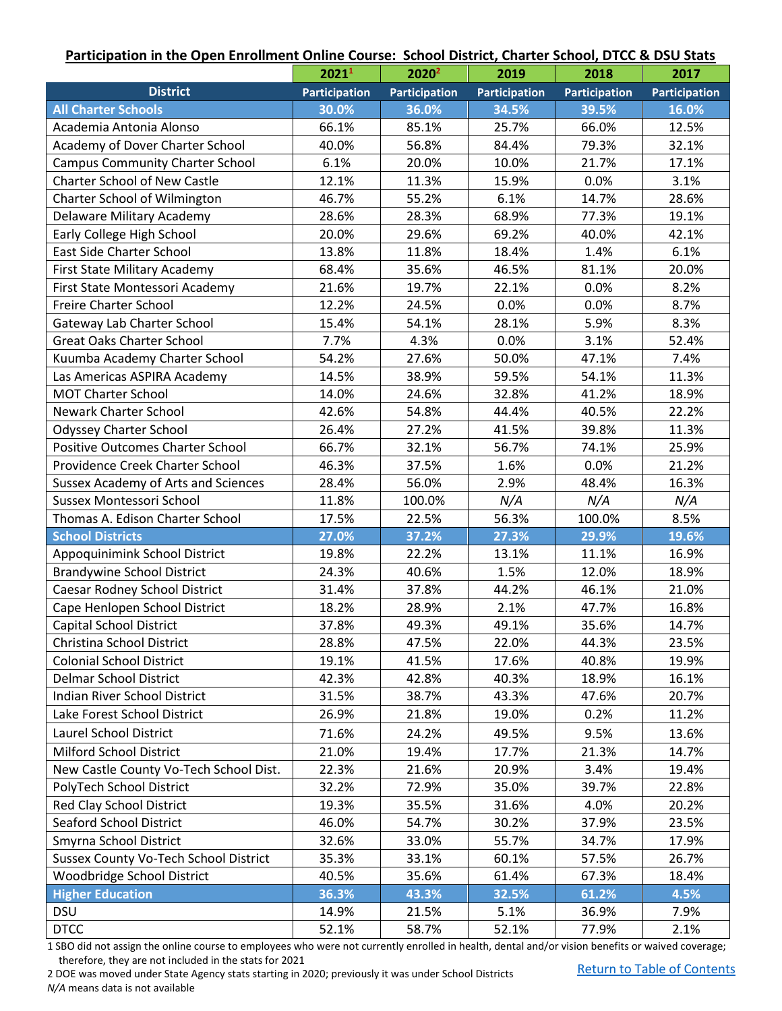### **Participation in the Open Enrollment Online Course: School District, Charter School, DTCC & DSU Stats**

|                                         | 20211                | 2020 <sup>2</sup>    | 2019                 | 2018                 | 2017                 |
|-----------------------------------------|----------------------|----------------------|----------------------|----------------------|----------------------|
| <b>District</b>                         | <b>Participation</b> | <b>Participation</b> | <b>Participation</b> | <b>Participation</b> | <b>Participation</b> |
| <b>All Charter Schools</b>              | 30.0%                | 36.0%                | 34.5%                | 39.5%                | 16.0%                |
| Academia Antonia Alonso                 | 66.1%                | 85.1%                | 25.7%                | 66.0%                | 12.5%                |
| Academy of Dover Charter School         | 40.0%                | 56.8%                | 84.4%                | 79.3%                | 32.1%                |
| <b>Campus Community Charter School</b>  | 6.1%                 | 20.0%                | 10.0%                | 21.7%                | 17.1%                |
| <b>Charter School of New Castle</b>     | 12.1%                | 11.3%                | 15.9%                | 0.0%                 | 3.1%                 |
| Charter School of Wilmington            | 46.7%                | 55.2%                | 6.1%                 | 14.7%                | 28.6%                |
| Delaware Military Academy               | 28.6%                | 28.3%                | 68.9%                | 77.3%                | 19.1%                |
| Early College High School               | 20.0%                | 29.6%                | 69.2%                | 40.0%                | 42.1%                |
| <b>East Side Charter School</b>         | 13.8%                | 11.8%                | 18.4%                | 1.4%                 | 6.1%                 |
| First State Military Academy            | 68.4%                | 35.6%                | 46.5%                | 81.1%                | 20.0%                |
| First State Montessori Academy          | 21.6%                | 19.7%                | 22.1%                | 0.0%                 | 8.2%                 |
| Freire Charter School                   | 12.2%                | 24.5%                | 0.0%                 | 0.0%                 | 8.7%                 |
| Gateway Lab Charter School              | 15.4%                | 54.1%                | 28.1%                | 5.9%                 | 8.3%                 |
| <b>Great Oaks Charter School</b>        | 7.7%                 | 4.3%                 | 0.0%                 | 3.1%                 | 52.4%                |
| Kuumba Academy Charter School           | 54.2%                | 27.6%                | 50.0%                | 47.1%                | 7.4%                 |
| Las Americas ASPIRA Academy             | 14.5%                | 38.9%                | 59.5%                | 54.1%                | 11.3%                |
| <b>MOT Charter School</b>               | 14.0%                | 24.6%                | 32.8%                | 41.2%                | 18.9%                |
| <b>Newark Charter School</b>            | 42.6%                | 54.8%                | 44.4%                | 40.5%                | 22.2%                |
| <b>Odyssey Charter School</b>           | 26.4%                | 27.2%                | 41.5%                | 39.8%                | 11.3%                |
| <b>Positive Outcomes Charter School</b> | 66.7%                | 32.1%                | 56.7%                | 74.1%                | 25.9%                |
| Providence Creek Charter School         | 46.3%                | 37.5%                | 1.6%                 | 0.0%                 | 21.2%                |
| Sussex Academy of Arts and Sciences     | 28.4%                | 56.0%                | 2.9%                 | 48.4%                | 16.3%                |
| Sussex Montessori School                | 11.8%                | 100.0%               | N/A                  | N/A                  | N/A                  |
| Thomas A. Edison Charter School         | 17.5%                | 22.5%                | 56.3%                | 100.0%               | 8.5%                 |
| <b>School Districts</b>                 | 27.0%                | 37.2%                | 27.3%                | 29.9%                | 19.6%                |
| Appoquinimink School District           | 19.8%                | 22.2%                | 13.1%                | 11.1%                | 16.9%                |
| <b>Brandywine School District</b>       | 24.3%                | 40.6%                | 1.5%                 | 12.0%                | 18.9%                |
| Caesar Rodney School District           | 31.4%                | 37.8%                | 44.2%                | 46.1%                | 21.0%                |
| Cape Henlopen School District           | 18.2%                | 28.9%                | 2.1%                 | 47.7%                | 16.8%                |
| <b>Capital School District</b>          | 37.8%                | 49.3%                | 49.1%                | 35.6%                | 14.7%                |
| Christina School District               | 28.8%                | 47.5%                | 22.0%                | 44.3%                | 23.5%                |
| <b>Colonial School District</b>         | 19.1%                | 41.5%                | 17.6%                | 40.8%                | 19.9%                |
| <b>Delmar School District</b>           | 42.3%                | 42.8%                | 40.3%                | 18.9%                | 16.1%                |
| <b>Indian River School District</b>     | 31.5%                | 38.7%                | 43.3%                | 47.6%                | 20.7%                |
| Lake Forest School District             | 26.9%                | 21.8%                | 19.0%                | 0.2%                 | 11.2%                |
| Laurel School District                  | 71.6%                | 24.2%                | 49.5%                | 9.5%                 | 13.6%                |
| Milford School District                 | 21.0%                | 19.4%                | 17.7%                | 21.3%                | 14.7%                |
| New Castle County Vo-Tech School Dist.  | 22.3%                | 21.6%                | 20.9%                | 3.4%                 | 19.4%                |
| PolyTech School District                | 32.2%                | 72.9%                | 35.0%                | 39.7%                | 22.8%                |
| <b>Red Clay School District</b>         | 19.3%                | 35.5%                | 31.6%                | 4.0%                 | 20.2%                |
| <b>Seaford School District</b>          | 46.0%                | 54.7%                | 30.2%                | 37.9%                | 23.5%                |
| Smyrna School District                  | 32.6%                | 33.0%                | 55.7%                | 34.7%                | 17.9%                |
| Sussex County Vo-Tech School District   | 35.3%                | 33.1%                | 60.1%                | 57.5%                | 26.7%                |
| Woodbridge School District              | 40.5%                | 35.6%                | 61.4%                | 67.3%                | 18.4%                |
| <b>Higher Education</b>                 | 36.3%                | 43.3%                | 32.5%                | 61.2%                | 4.5%                 |
| <b>DSU</b>                              | 14.9%                | 21.5%                | 5.1%                 | 36.9%                | 7.9%                 |
| <b>DTCC</b>                             | 52.1%                | 58.7%                | 52.1%                | 77.9%                | 2.1%                 |

1 SBO did not assign the online course to employees who were not currently enrolled in health, dental and/or vision benefits or waived coverage; therefore, they are not included in the stats for 2021

2 DOE was moved under State Agency stats starting in 2020; previously it was under School Districts *N/A* means data is not available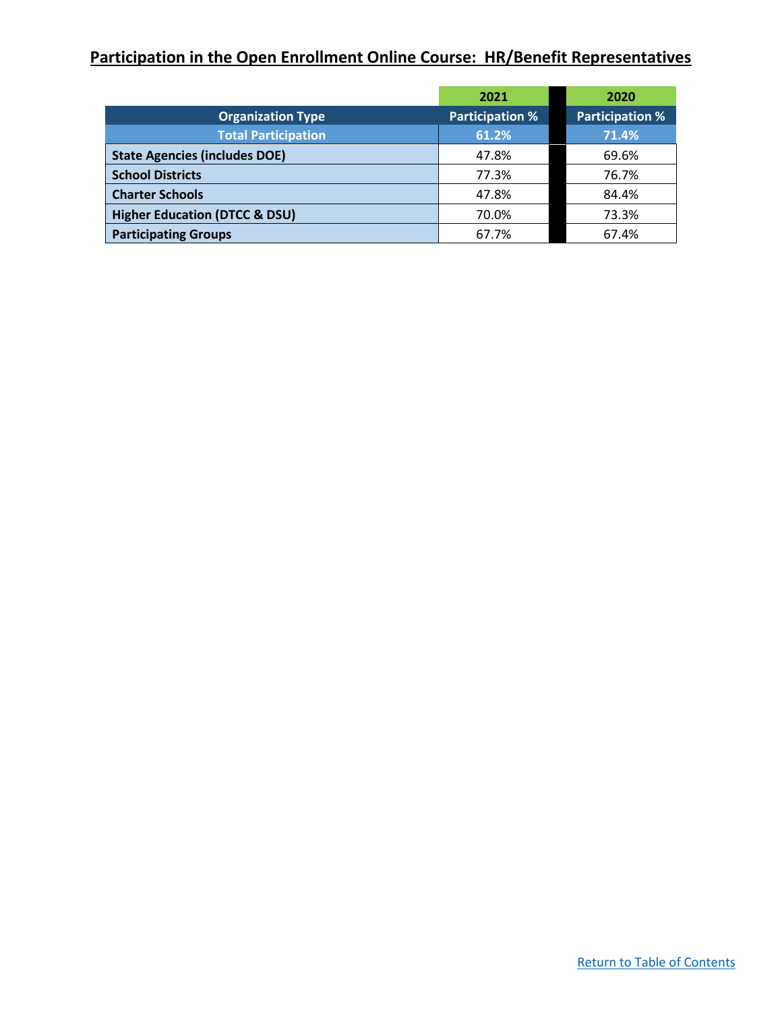## <span id="page-4-0"></span>**Participation in the Open Enrollment Online Course: HR/Benefit Representatives**

|                                          | 2021                   | 2020                   |
|------------------------------------------|------------------------|------------------------|
| <b>Organization Type</b>                 | <b>Participation %</b> | <b>Participation %</b> |
| <b>Total Participation</b>               | 61.2%                  | 71.4%                  |
| <b>State Agencies (includes DOE)</b>     | 47.8%                  | 69.6%                  |
| <b>School Districts</b>                  | 77.3%                  | 76.7%                  |
| <b>Charter Schools</b>                   | 47.8%                  | 84.4%                  |
| <b>Higher Education (DTCC &amp; DSU)</b> | 70.0%                  | 73.3%                  |
| <b>Participating Groups</b>              | 67.7%                  | 67.4%                  |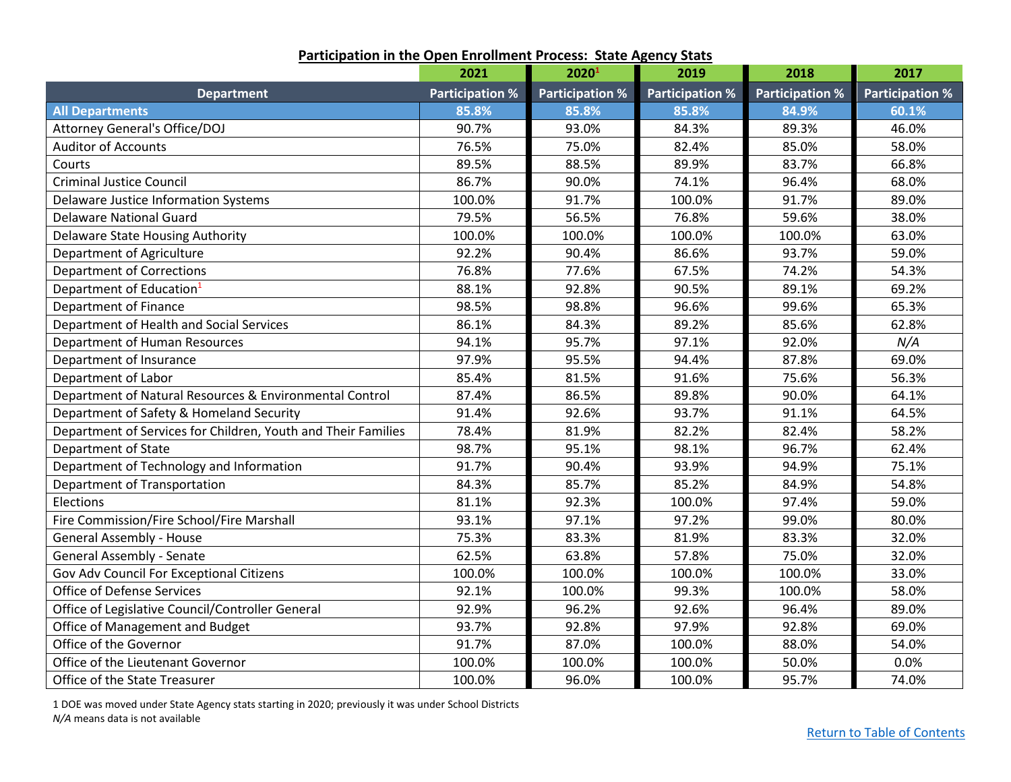<span id="page-5-0"></span>

|                                                               | 2021                   | 2020 <sup>1</sup>      | 2019                   | 2018                   | 2017                   |
|---------------------------------------------------------------|------------------------|------------------------|------------------------|------------------------|------------------------|
| <b>Department</b>                                             | <b>Participation %</b> | <b>Participation %</b> | <b>Participation %</b> | <b>Participation %</b> | <b>Participation %</b> |
| <b>All Departments</b>                                        | 85.8%                  | 85.8%                  | 85.8%                  | 84.9%                  | 60.1%                  |
| Attorney General's Office/DOJ                                 | 90.7%                  | 93.0%                  | 84.3%                  | 89.3%                  | 46.0%                  |
| <b>Auditor of Accounts</b>                                    | 76.5%                  | 75.0%                  | 82.4%                  | 85.0%                  | 58.0%                  |
| Courts                                                        | 89.5%                  | 88.5%                  | 89.9%                  | 83.7%                  | 66.8%                  |
| <b>Criminal Justice Council</b>                               | 86.7%                  | 90.0%                  | 74.1%                  | 96.4%                  | 68.0%                  |
| Delaware Justice Information Systems                          | 100.0%                 | 91.7%                  | 100.0%                 | 91.7%                  | 89.0%                  |
| <b>Delaware National Guard</b>                                | 79.5%                  | 56.5%                  | 76.8%                  | 59.6%                  | 38.0%                  |
| <b>Delaware State Housing Authority</b>                       | 100.0%                 | 100.0%                 | 100.0%                 | 100.0%                 | 63.0%                  |
| Department of Agriculture                                     | 92.2%                  | 90.4%                  | 86.6%                  | 93.7%                  | 59.0%                  |
| <b>Department of Corrections</b>                              | 76.8%                  | 77.6%                  | 67.5%                  | 74.2%                  | 54.3%                  |
| Department of Education <sup>1</sup>                          | 88.1%                  | 92.8%                  | 90.5%                  | 89.1%                  | 69.2%                  |
| <b>Department of Finance</b>                                  | 98.5%                  | 98.8%                  | 96.6%                  | 99.6%                  | 65.3%                  |
| Department of Health and Social Services                      | 86.1%                  | 84.3%                  | 89.2%                  | 85.6%                  | 62.8%                  |
| Department of Human Resources                                 | 94.1%                  | 95.7%                  | 97.1%                  | 92.0%                  | N/A                    |
| Department of Insurance                                       | 97.9%                  | 95.5%                  | 94.4%                  | 87.8%                  | 69.0%                  |
| Department of Labor                                           | 85.4%                  | 81.5%                  | 91.6%                  | 75.6%                  | 56.3%                  |
| Department of Natural Resources & Environmental Control       | 87.4%                  | 86.5%                  | 89.8%                  | 90.0%                  | 64.1%                  |
| Department of Safety & Homeland Security                      | 91.4%                  | 92.6%                  | 93.7%                  | 91.1%                  | 64.5%                  |
| Department of Services for Children, Youth and Their Families | 78.4%                  | 81.9%                  | 82.2%                  | 82.4%                  | 58.2%                  |
| Department of State                                           | 98.7%                  | 95.1%                  | 98.1%                  | 96.7%                  | 62.4%                  |
| Department of Technology and Information                      | 91.7%                  | 90.4%                  | 93.9%                  | 94.9%                  | 75.1%                  |
| Department of Transportation                                  | 84.3%                  | 85.7%                  | 85.2%                  | 84.9%                  | 54.8%                  |
| Elections                                                     | 81.1%                  | 92.3%                  | 100.0%                 | 97.4%                  | 59.0%                  |
| Fire Commission/Fire School/Fire Marshall                     | 93.1%                  | 97.1%                  | 97.2%                  | 99.0%                  | 80.0%                  |
| <b>General Assembly - House</b>                               | 75.3%                  | 83.3%                  | 81.9%                  | 83.3%                  | 32.0%                  |
| General Assembly - Senate                                     | 62.5%                  | 63.8%                  | 57.8%                  | 75.0%                  | 32.0%                  |
| Gov Adv Council For Exceptional Citizens                      | 100.0%                 | 100.0%                 | 100.0%                 | 100.0%                 | 33.0%                  |
| <b>Office of Defense Services</b>                             | 92.1%                  | 100.0%                 | 99.3%                  | 100.0%                 | 58.0%                  |
| Office of Legislative Council/Controller General              | 92.9%                  | 96.2%                  | 92.6%                  | 96.4%                  | 89.0%                  |
| Office of Management and Budget                               | 93.7%                  | 92.8%                  | 97.9%                  | 92.8%                  | 69.0%                  |
| Office of the Governor                                        | 91.7%                  | 87.0%                  | 100.0%                 | 88.0%                  | 54.0%                  |
| Office of the Lieutenant Governor                             | 100.0%                 | 100.0%                 | 100.0%                 | 50.0%                  | 0.0%                   |
| Office of the State Treasurer                                 | 100.0%                 | 96.0%                  | 100.0%                 | 95.7%                  | 74.0%                  |

**Participation in the Open Enrollment Process: State Agency Stats**

1 DOE was moved under State Agency stats starting in 2020; previously it was under School Districts *N/A* means data is not available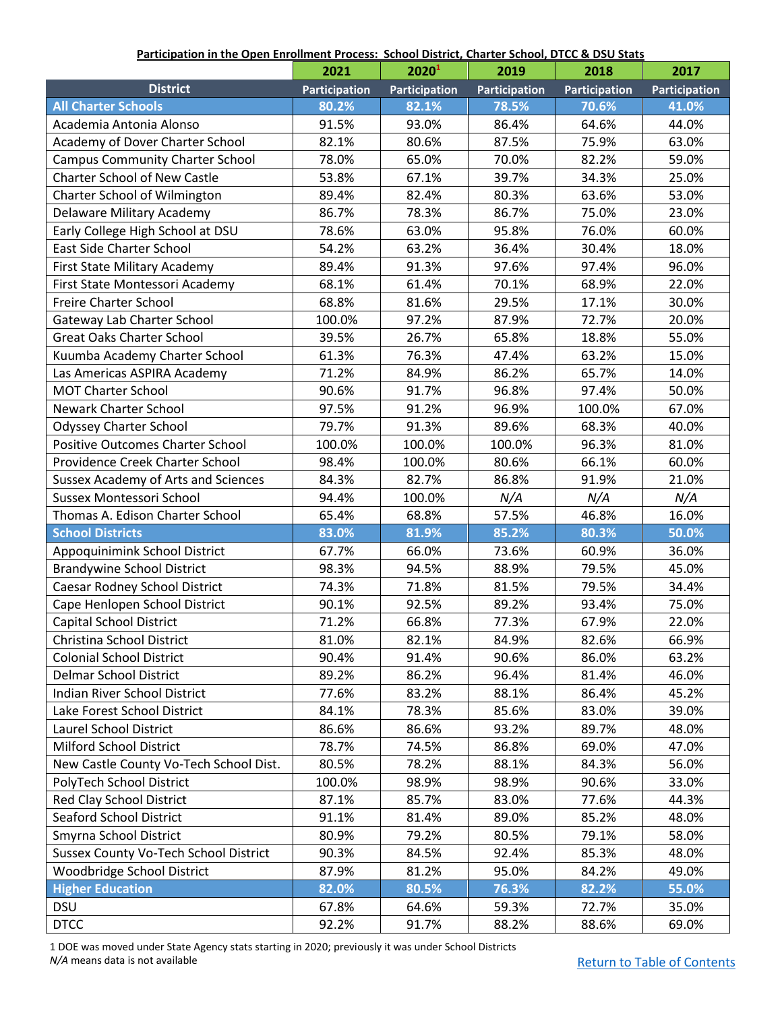#### **Participation in the Open Enrollment Process: School District, Charter School, DTCC & DSU Stats**

<span id="page-6-0"></span>

|                                            | 2021          | 2020 <sup>1</sup> | 2019          | 2018                 | 2017                 |
|--------------------------------------------|---------------|-------------------|---------------|----------------------|----------------------|
| <b>District</b>                            | Participation | Participation     | Participation | <b>Participation</b> | <b>Participation</b> |
| <b>All Charter Schools</b>                 | 80.2%         | 82.1%             | 78.5%         | 70.6%                | 41.0%                |
| Academia Antonia Alonso                    | 91.5%         | 93.0%             | 86.4%         | 64.6%                | 44.0%                |
| Academy of Dover Charter School            | 82.1%         | 80.6%             | 87.5%         | 75.9%                | 63.0%                |
| <b>Campus Community Charter School</b>     | 78.0%         | 65.0%             | 70.0%         | 82.2%                | 59.0%                |
| <b>Charter School of New Castle</b>        | 53.8%         | 67.1%             | 39.7%         | 34.3%                | 25.0%                |
| Charter School of Wilmington               | 89.4%         | 82.4%             | 80.3%         | 63.6%                | 53.0%                |
| Delaware Military Academy                  | 86.7%         | 78.3%             | 86.7%         | 75.0%                | 23.0%                |
| Early College High School at DSU           | 78.6%         | 63.0%             | 95.8%         | 76.0%                | 60.0%                |
| <b>East Side Charter School</b>            | 54.2%         | 63.2%             | 36.4%         | 30.4%                | 18.0%                |
| First State Military Academy               | 89.4%         | 91.3%             | 97.6%         | 97.4%                | 96.0%                |
| First State Montessori Academy             | 68.1%         | 61.4%             | 70.1%         | 68.9%                | 22.0%                |
| Freire Charter School                      | 68.8%         | 81.6%             | 29.5%         | 17.1%                | 30.0%                |
| Gateway Lab Charter School                 | 100.0%        | 97.2%             | 87.9%         | 72.7%                | 20.0%                |
| <b>Great Oaks Charter School</b>           | 39.5%         | 26.7%             | 65.8%         | 18.8%                | 55.0%                |
| Kuumba Academy Charter School              | 61.3%         | 76.3%             | 47.4%         | 63.2%                | 15.0%                |
| Las Americas ASPIRA Academy                | 71.2%         | 84.9%             | 86.2%         | 65.7%                | 14.0%                |
| <b>MOT Charter School</b>                  | 90.6%         | 91.7%             | 96.8%         | 97.4%                | 50.0%                |
| <b>Newark Charter School</b>               | 97.5%         | 91.2%             | 96.9%         | 100.0%               | 67.0%                |
| <b>Odyssey Charter School</b>              | 79.7%         | 91.3%             | 89.6%         | 68.3%                | 40.0%                |
| <b>Positive Outcomes Charter School</b>    | 100.0%        | 100.0%            | 100.0%        | 96.3%                | 81.0%                |
| Providence Creek Charter School            | 98.4%         | 100.0%            | 80.6%         | 66.1%                | 60.0%                |
| <b>Sussex Academy of Arts and Sciences</b> | 84.3%         | 82.7%             | 86.8%         | 91.9%                | 21.0%                |
| Sussex Montessori School                   | 94.4%         | 100.0%            | N/A           | N/A                  | N/A                  |
| Thomas A. Edison Charter School            | 65.4%         | 68.8%             | 57.5%         | 46.8%                | 16.0%                |
| <b>School Districts</b>                    | 83.0%         | 81.9%             | 85.2%         | 80.3%                | 50.0%                |
| Appoquinimink School District              | 67.7%         | 66.0%             | 73.6%         | 60.9%                | 36.0%                |
| <b>Brandywine School District</b>          | 98.3%         | 94.5%             | 88.9%         | 79.5%                | 45.0%                |
| Caesar Rodney School District              | 74.3%         | 71.8%             | 81.5%         | 79.5%                | 34.4%                |
| Cape Henlopen School District              | 90.1%         | 92.5%             | 89.2%         | 93.4%                | 75.0%                |
| <b>Capital School District</b>             | 71.2%         | 66.8%             | 77.3%         | 67.9%                | 22.0%                |
| Christina School District                  | 81.0%         | 82.1%             | 84.9%         | 82.6%                | 66.9%                |
| <b>Colonial School District</b>            | 90.4%         | 91.4%             | 90.6%         | 86.0%                | 63.2%                |
| <b>Delmar School District</b>              | 89.2%         | 86.2%             | 96.4%         | 81.4%                | 46.0%                |
| Indian River School District               | 77.6%         | 83.2%             | 88.1%         | 86.4%                | 45.2%                |
| Lake Forest School District                | 84.1%         | 78.3%             | 85.6%         | 83.0%                | 39.0%                |
| Laurel School District                     | 86.6%         | 86.6%             | 93.2%         | 89.7%                | 48.0%                |
| Milford School District                    | 78.7%         | 74.5%             | 86.8%         | 69.0%                | 47.0%                |
| New Castle County Vo-Tech School Dist.     | 80.5%         | 78.2%             | 88.1%         | 84.3%                | 56.0%                |
| PolyTech School District                   | 100.0%        | 98.9%             | 98.9%         | 90.6%                | 33.0%                |
| Red Clay School District                   | 87.1%         | 85.7%             | 83.0%         | 77.6%                | 44.3%                |
| <b>Seaford School District</b>             | 91.1%         | 81.4%             | 89.0%         | 85.2%                | 48.0%                |
| Smyrna School District                     | 80.9%         | 79.2%             | 80.5%         | 79.1%                | 58.0%                |
| Sussex County Vo-Tech School District      | 90.3%         | 84.5%             | 92.4%         | 85.3%                | 48.0%                |
| Woodbridge School District                 | 87.9%         | 81.2%             | 95.0%         | 84.2%                | 49.0%                |
| <b>Higher Education</b>                    | 82.0%         | 80.5%             | 76.3%         | 82.2%                | 55.0%                |
| <b>DSU</b>                                 | 67.8%         | 64.6%             | 59.3%         | 72.7%                | 35.0%                |
| <b>DTCC</b>                                | 92.2%         | 91.7%             | 88.2%         | 88.6%                | 69.0%                |

1 DOE was moved under State Agency stats starting in 2020; previously it was under School Districts *N/A* means data is not available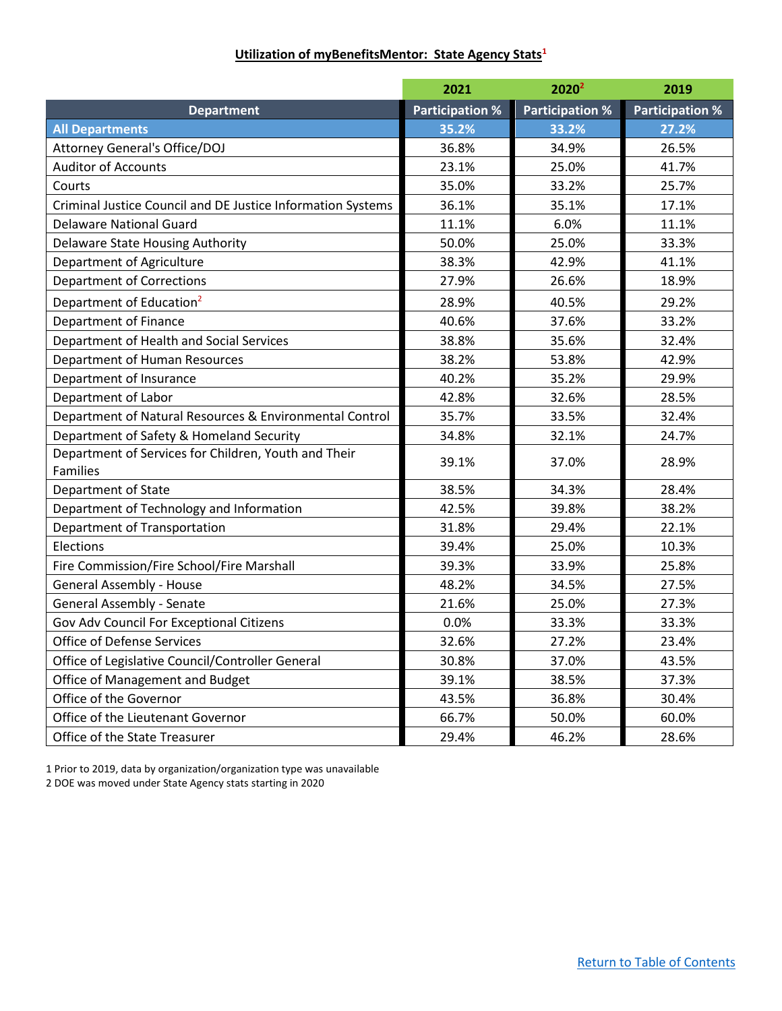### **Utilization of myBenefitsMentor: State Agency Stats<sup>1</sup>**

<span id="page-7-0"></span>

|                                                                  | 2021                   | 2020 <sup>2</sup>      | 2019                   |
|------------------------------------------------------------------|------------------------|------------------------|------------------------|
| <b>Department</b>                                                | <b>Participation %</b> | <b>Participation %</b> | <b>Participation %</b> |
| <b>All Departments</b>                                           | 35.2%                  | 33.2%                  | 27.2%                  |
| Attorney General's Office/DOJ                                    | 36.8%                  | 34.9%                  | 26.5%                  |
| <b>Auditor of Accounts</b>                                       | 23.1%                  | 25.0%                  | 41.7%                  |
| Courts                                                           | 35.0%                  | 33.2%                  | 25.7%                  |
| Criminal Justice Council and DE Justice Information Systems      | 36.1%                  | 35.1%                  | 17.1%                  |
| <b>Delaware National Guard</b>                                   | 11.1%                  | 6.0%                   | 11.1%                  |
| Delaware State Housing Authority                                 | 50.0%                  | 25.0%                  | 33.3%                  |
| Department of Agriculture                                        | 38.3%                  | 42.9%                  | 41.1%                  |
| <b>Department of Corrections</b>                                 | 27.9%                  | 26.6%                  | 18.9%                  |
| Department of Education <sup>2</sup>                             | 28.9%                  | 40.5%                  | 29.2%                  |
| Department of Finance                                            | 40.6%                  | 37.6%                  | 33.2%                  |
| Department of Health and Social Services                         | 38.8%                  | 35.6%                  | 32.4%                  |
| Department of Human Resources                                    | 38.2%                  | 53.8%                  | 42.9%                  |
| Department of Insurance                                          | 40.2%                  | 35.2%                  | 29.9%                  |
| Department of Labor                                              | 42.8%                  | 32.6%                  | 28.5%                  |
| Department of Natural Resources & Environmental Control          | 35.7%                  | 33.5%                  | 32.4%                  |
| Department of Safety & Homeland Security                         | 34.8%                  | 32.1%                  | 24.7%                  |
| Department of Services for Children, Youth and Their<br>Families | 39.1%                  | 37.0%                  | 28.9%                  |
| <b>Department of State</b>                                       | 38.5%                  | 34.3%                  | 28.4%                  |
| Department of Technology and Information                         | 42.5%                  | 39.8%                  | 38.2%                  |
| Department of Transportation                                     | 31.8%                  | 29.4%                  | 22.1%                  |
| Elections                                                        | 39.4%                  | 25.0%                  | 10.3%                  |
| Fire Commission/Fire School/Fire Marshall                        | 39.3%                  | 33.9%                  | 25.8%                  |
| <b>General Assembly - House</b>                                  | 48.2%                  | 34.5%                  | 27.5%                  |
| General Assembly - Senate                                        | 21.6%                  | 25.0%                  | 27.3%                  |
| Gov Adv Council For Exceptional Citizens                         | 0.0%                   | 33.3%                  | 33.3%                  |
| <b>Office of Defense Services</b>                                | 32.6%                  | 27.2%                  | 23.4%                  |
| Office of Legislative Council/Controller General                 | 30.8%                  | 37.0%                  | 43.5%                  |
| Office of Management and Budget                                  | 39.1%                  | 38.5%                  | 37.3%                  |
| Office of the Governor                                           | 43.5%                  | 36.8%                  | 30.4%                  |
| Office of the Lieutenant Governor                                | 66.7%                  | 50.0%                  | 60.0%                  |
| Office of the State Treasurer                                    | 29.4%                  | 46.2%                  | 28.6%                  |

1 Prior to 2019, data by organization/organization type was unavailable

2 DOE was moved under State Agency stats starting in 2020